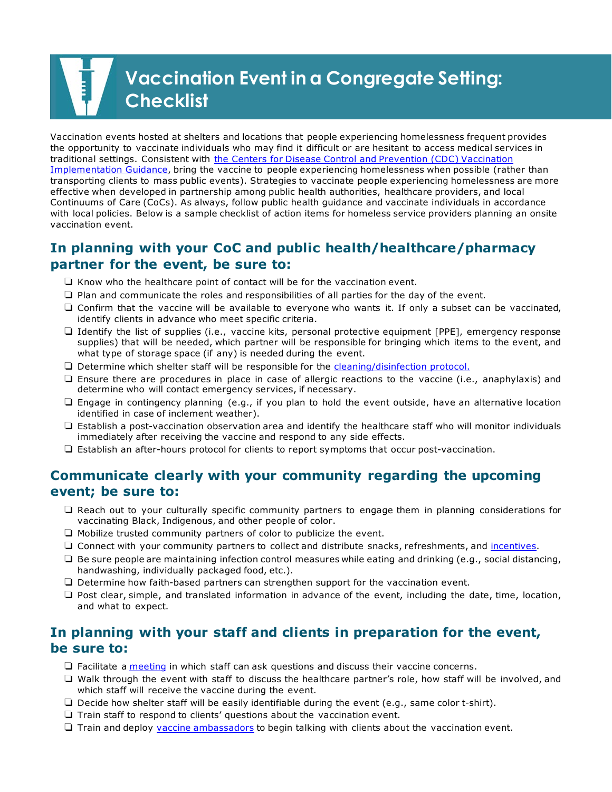# **Vaccination Event in a Congregate Setting: Checklist**

 Vaccination events hosted at shelters and locations that people experiencing homelessness frequent provides the opportunity to vaccinate individuals who may find it difficult or are hesitant to access medical services in L transporting clients to mass public events). Strategies to vaccinate people experiencing homelessness are more effective when developed in partnership among public health authorities, healthcare providers, and local with local policies. Below is a sample checklist of action items for homeless service providers planning an onsite traditional settings. Consistent with the Centers for Disease Control and Prevention (CDC) Vaccination [Implementation Guidance,](https://www.cdc.gov/coronavirus/2019-ncov/community/homeless-shelters/vaccine-faqs.html) bring the vaccine to people experiencing homelessness when possible (rather than Continuums of Care (CoCs). As always, follow public health guidance and vaccinate individuals in accordance vaccination event.

# **In planning with your CoC and public health/healthcare/pharmacy partner for the event, be sure to:**

- $\Box$  Know who the healthcare point of contact will be for the vaccination event.
- ❏ Plan and communicate the roles and responsibilities of all parties for the day of the event.
- ❏ Confirm that the vaccine will be available to everyone who wants it. If only a subset can be vaccinated, identify clients in advance who meet specific criteria.
- ❏ Identify the list of supplies (i.e., vaccine kits, personal protective equipment [PPE], emergency response supplies) that will be needed, which partner will be responsible for bringing which items to the event, and what type of storage space (if any) is needed during the event.
- ❏ Determine which shelter staff will be responsible for the [cleaning/disinfection protocol.](https://www.cdc.gov/vaccines/hcp/admin/mass-clinic-activities/during-clinic-activities.html)
- ❏ Ensure there are procedures in place in case of allergic reactions to the vaccine (i.e., anaphylaxis) and determine who will contact emergency services, if necessary.
- ❏ Engage in contingency planning (e.g., if you plan to hold the event outside, have an alternative location identified in case of inclement weather).
- ❏ Establish a post-vaccination observation area and identify the healthcare staff who will monitor individuals immediately after receiving the vaccine and respond to any side effects.
- ❏ Establish an after-hours protocol for clients to report symptoms that occur post-vaccination.

## **Communicate clearly with your community regarding the upcoming event; be sure to:**

- ❏ Reach out to your culturally specific community partners to engage them in planning considerations for vaccinating Black, Indigenous, and other people of color.
- ❏ Mobilize trusted community partners of color to publicize the event.
- ❏ Connect with your community partners to collect and distribute snacks, refreshments, and [incentives.](https://files.hudexchange.info/resources/documents/Utilizing-Incentives-to-Increase-Vaccine-Adherence.pdf)
- ❏ Be sure people are maintaining infection control measures while eating and drinking (e.g., social distancing, handwashing, individually packaged food, etc.).
- ❏ Determine how faith-based partners can strengthen support for the vaccination event.
- ❏ Post clear, simple, and translated information in advance of the event, including the date, time, location, and what to expect.

# **In planning with your staff and clients in preparation for the event, be sure to:**

- $\Box$  Facilitate a [meeting](https://files.hudexchange.info/resources/documents/Preparing-Staff-for-the-COVID-19-Vaccine-Meeting-Template.pdf) in which staff can ask questions and discuss their vaccine concerns.
- ❏ Walk through the event with staff to discuss the healthcare partner's role, how staff will be involved, and which staff will receive the vaccine during the event.
- ❏ Decide how shelter staff will be easily identifiable during the event (e.g., same color t-shirt).
- ❏ Train staff to respond to clients' questions about the vaccination event.
- ❏ Train and deploy [vaccine ambassadors](https://files.hudexchange.info/resources/documents/Vaccine-Ambassador-Program-and-Job-Description.pdf) to begin talking with clients about the vaccination event.